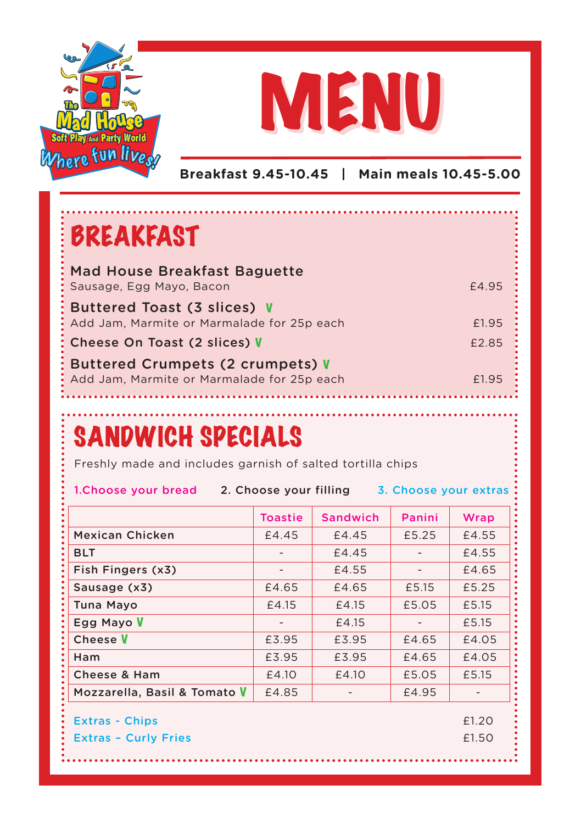



**Breakfast 9.45-10.45 | Main meals 10.45-5.00**

## BREAKFAST

| <b>Mad House Breakfast Baguette</b><br>Sausage, Egg Mayo, Bacon                | £4.95 |
|--------------------------------------------------------------------------------|-------|
| Buttered Toast (3 slices) V<br>Add Jam, Marmite or Marmalade for 25p each      | £1.95 |
| Cheese On Toast (2 slices) V                                                   | £2.85 |
| Buttered Crumpets (2 crumpets) V<br>Add Jam, Marmite or Marmalade for 25p each | £1.95 |

## SANDWICH SPECIALS

Freshly made and includes garnish of salted tortilla chips

**1.Choose your bread 2. Choose your filling 3. Choose your extras**

|                                     | <b>Toastie</b> | <b>Sandwich</b> | Panini | Wrap  |
|-------------------------------------|----------------|-----------------|--------|-------|
| Mexican Chicken                     | £4.45          | £4.45           | £5.25  | £4.55 |
| BLT                                 |                | £4.45           |        | £4.55 |
| Fish Fingers (x3)                   |                | £4.55           |        | £4.65 |
| Sausage (x3)                        | £4.65          | £4.65           | £5.15  | £5.25 |
| Tuna Mayo                           | £4.15          | £4.15           | £5.05  | £5.15 |
| Egg Mayo V                          |                | £4.15           |        | £5.15 |
| Cheese <b>V</b>                     | £3.95          | £3.95           | £4.65  | £4.05 |
| Ham                                 | £3.95          | £3.95           | £4.65  | £4.05 |
| Cheese & Ham                        | £4.10          | £4.10           | £5.05  | £5.15 |
| Mozzarella, Basil & Tomato <b>V</b> | £4.85          |                 | £4.95  |       |
| <b>Extras - Chips</b>               |                |                 |        | £1.20 |
| <b>Extras - Curly Fries</b>         |                |                 |        | £1.50 |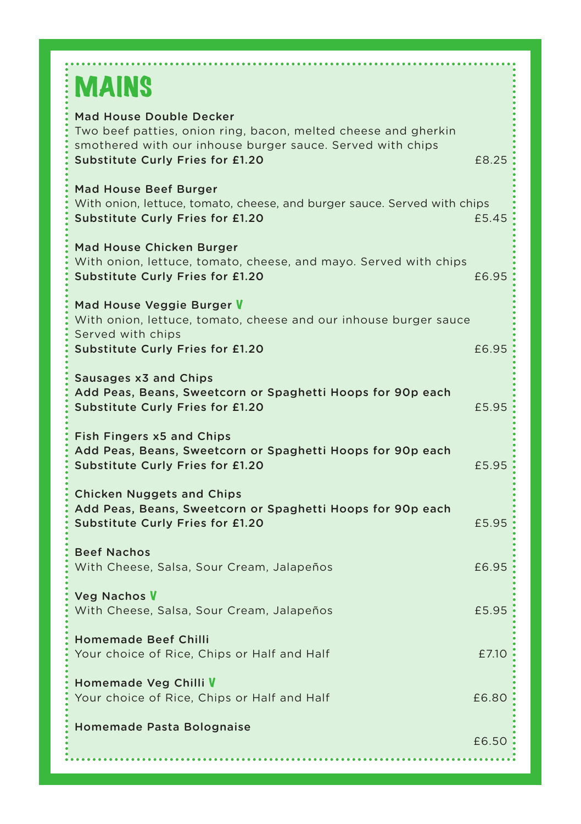# **MAINS**

| <b>Mad House Double Decker</b><br>Two beef patties, onion ring, bacon, melted cheese and gherkin<br>smothered with our inhouse burger sauce. Served with chips<br><b>Substitute Curly Fries for £1.20</b> | £8.25 |
|-----------------------------------------------------------------------------------------------------------------------------------------------------------------------------------------------------------|-------|
| <b>Mad House Beef Burger</b><br>With onion, lettuce, tomato, cheese, and burger sauce. Served with chips<br><b>Substitute Curly Fries for £1.20</b>                                                       | £5.45 |
| Mad House Chicken Burger<br>With onion, lettuce, tomato, cheese, and mayo. Served with chips<br><b>Substitute Curly Fries for £1.20</b>                                                                   | £6.95 |
| Mad House Veggie Burger V<br>With onion, lettuce, tomato, cheese and our inhouse burger sauce<br>Served with chips<br>Substitute Curly Fries for £1.20                                                    | £6.95 |
| Sausages x3 and Chips<br>Add Peas, Beans, Sweetcorn or Spaghetti Hoops for 90p each<br><b>Substitute Curly Fries for £1.20</b>                                                                            | £5.95 |
| <b>Fish Fingers x5 and Chips</b><br>Add Peas, Beans, Sweetcorn or Spaghetti Hoops for 90p each<br><b>Substitute Curly Fries for £1.20</b>                                                                 | £5.95 |
| <b>Chicken Nuggets and Chips</b><br>Add Peas, Beans, Sweetcorn or Spaghetti Hoops for 90p each<br><b>Substitute Curly Fries for £1.20</b>                                                                 | £5.95 |
| <b>Beef Nachos</b><br>With Cheese, Salsa, Sour Cream, Jalapeños                                                                                                                                           | £6.95 |
| <b>Veg Nachos V</b><br>With Cheese, Salsa, Sour Cream, Jalapeños                                                                                                                                          | £5.95 |
| <b>Homemade Beef Chilli</b><br>Your choice of Rice, Chips or Half and Half                                                                                                                                | £7.10 |
| Homemade Veg Chilli V<br>Your choice of Rice, Chips or Half and Half                                                                                                                                      | £6.80 |
| Homemade Pasta Bolognaise                                                                                                                                                                                 | £6.50 |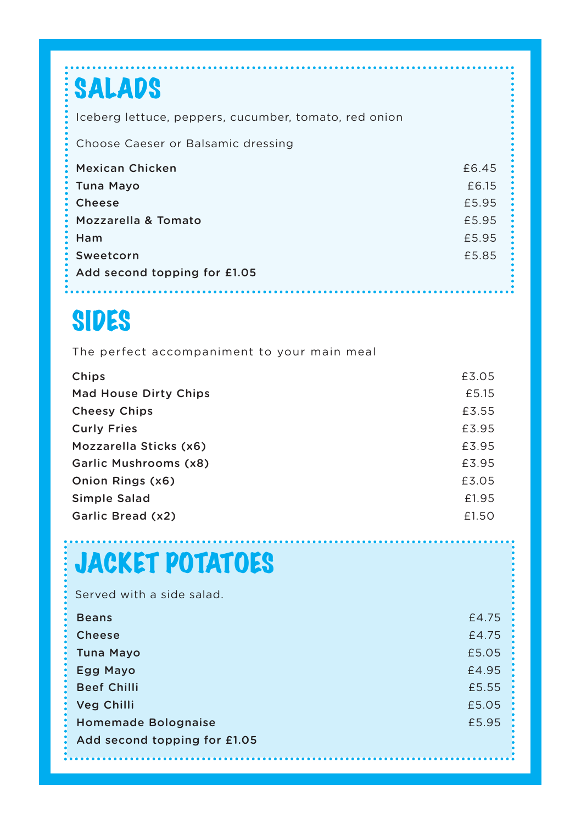## SALADS **Mexican Chicken 2008 2008 2008 2008 2008 2008 2008 2008 2008 2008 2008 2008 2008 2008 2008 2008 2008 2008 2008 2008 2008 2008 2008 2008 2008 2008 2008 2008 2008 Tuna Mayo** £6.15 **Cheese** £5.95 **Mozzarella & Tomato** £5.95 **Ham** £5.95 **Sweetcorn** £5.85 **Add second topping for £1.05** Iceberg lettuce, peppers, cucumber, tomato, red onion Choose Caeser or Balsamic dressing

## SIDES

..............

The perfect accompaniment to your main meal

| Chips                        | £3.05 |
|------------------------------|-------|
| <b>Mad House Dirty Chips</b> | £5.15 |
| <b>Cheesy Chips</b>          | £3.55 |
| <b>Curly Fries</b>           | £3.95 |
| Mozzarella Sticks (x6)       | £3.95 |
| Garlic Mushrooms (x8)        | £3.95 |
| Onion Rings (x6)             | £3.05 |
| Simple Salad                 | £1.95 |
| Garlic Bread (x2)            | £1.50 |

## JACKET POTATOES

| Served with a side salad.    |       |
|------------------------------|-------|
| <b>Beans</b>                 | £4.75 |
| <b>Cheese</b>                | £4.75 |
| Tuna Mayo                    | £5.05 |
| Egg Mayo                     | £4.95 |
| <b>Beef Chilli</b>           | £5.55 |
| Veg Chilli                   | £5.05 |
| <b>Homemade Bolognaise</b>   | £5.95 |
| Add second topping for £1.05 |       |
|                              |       |